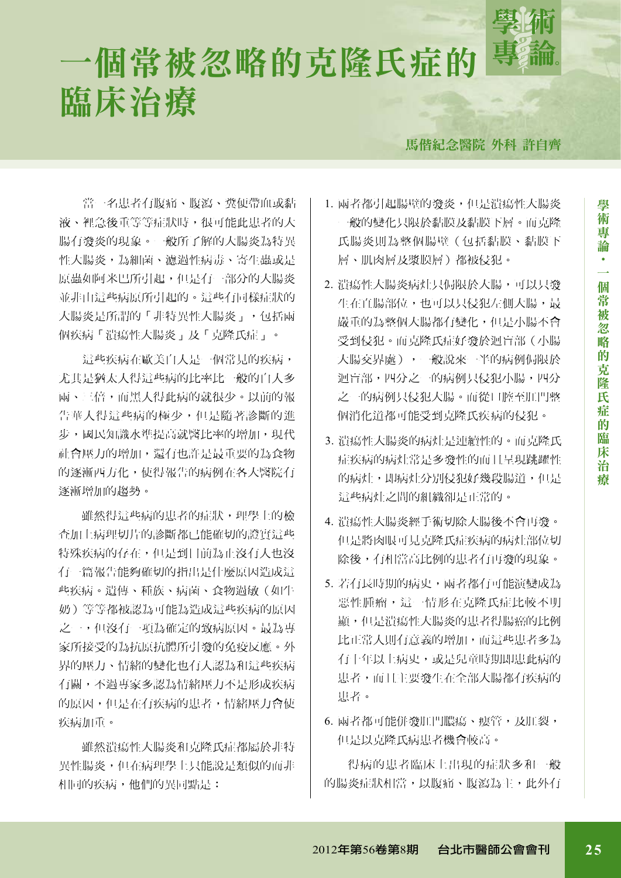

# 一個常被忽略的克隆氏症的 臨床治療

馬偕紀念醫院 外科 許自齊

當一名患者有腹痛、腹瀉、糞便帶血或黏 液、裡急後重等等症狀時,很可能此患者的大 腸有發炎的現象。一般所了解的大腸炎為特異 性大腸炎,為細菌、濾過性病毒、寄生蟲或是 原蟲如阿米巴所引起,但是有一部分的大腸炎 並非由這些病原所引起的。這些有同樣症狀的 大腸炎是所謂的「非特異性大腸炎」, 句括兩 個疾病「潰瘍性大腸炎」及「克隆氏症」。

這些疾病在歐美白人是一個常見的疾病, 尤其是猶太人得這些病的比率比一般的白人多 兩、三倍,而黑人得此病的就很少。以前的報 告華人得這些病的極少,但是隨著診斷的進 步,國民知識水準提高就醫比率的增加,現代 社會壓力的增加,還有也許是最重要的為食物 的逐漸西方化,使得報告的病例在各大醫院有 逐漸增加的趨勢。

雖然得這些病的患者的症狀,理學上的檢 查加上病理切片的診斷都已能確切的證實這些 特殊疾病的存在,但是到目前為止沒有人也沒 有一篇報告能夠確切的指出是什麼原因造成這 些疾病。遺傳、種族、病菌、食物過敏(如牛 奶)等等都被認為可能為造成這些疾病的原因 之一,但沒有一項為確定的致病原因。最為專 家所接受的為抗原抗體所引發的免疫反應。外 界的壓力、情緒的變化也有人認為和這些疾病 有關,不過專家多認為情緒壓力不是形成疾病 的原因,但是在有疾病的患者,情緒壓力會使 疾病加重。

雖然潰瘍性大腸炎和克隆氏症都屬於非特 異性腸炎,但在病理學上只能說是類似的而非 相同的疾病,他們的異同點是:

- 1. 兩者都引起腸壁的發炎,但是潰瘍性大腸炎 一般的變化只限於黏膜及黏膜下層。而克隆 氏腸炎則為整個腸壁(包括黏膜、黏膜下 層、肌肉層及漿膜層)都被侵犯。
- 2. 潰瘍性大腸炎病灶只侷限於大腸,可以只發 生在直腸部位,也可以只侵犯左側大腸,最 嚴重的為整個大腸都有變化,但是小腸不會 受到侵犯。而克隆氏症好發於迴盲部(小腸 大腸交界處),一般說來一半的病例侷限於 迴盲部,四分之一的病例只侵犯小腸,四分 之一的病例只侵犯大腸。而從口腔至肛門整 個消化道都可能受到克隆氏疾病的侵犯。
- 3. 潰瘍性大腸炎的病灶是連續性的。而克隆氏 症疾病的病灶常是多發性的而且呈現跳躍性 的病灶,即病灶分別侵犯好幾段腸道,但是 這些病灶之間的組織卻是正常的。
- 4. 潰瘍性大腸炎經手術切除大腸後不會再發。 但是將肉眼可見克隆氏症疾病的病灶部位切 除後,有相當高比例的患者有再發的現象。
- 5. 若有長時期的病史, 兩者都有可能演變成為 惡性腫瘤,這一情形在克隆氏症比較不明 顯,但是潰瘍性大腸炎的患者得腸癌的比例 比正常人則有意義的增加,而這些患者多為 有十年以上病史,或是兒童時期即患此病的 患者,而且主要發生在全部大腸都有疾病的 患者。
- 6. 兩者都可能併發肛門膿瘍、瘻管,及肛裂, 但是以克隆氏病患者機會較高。

得病的患者臨床上出現的症狀多和一般 的腸炎症狀相當,以腹痛、腹瀉為主,此外有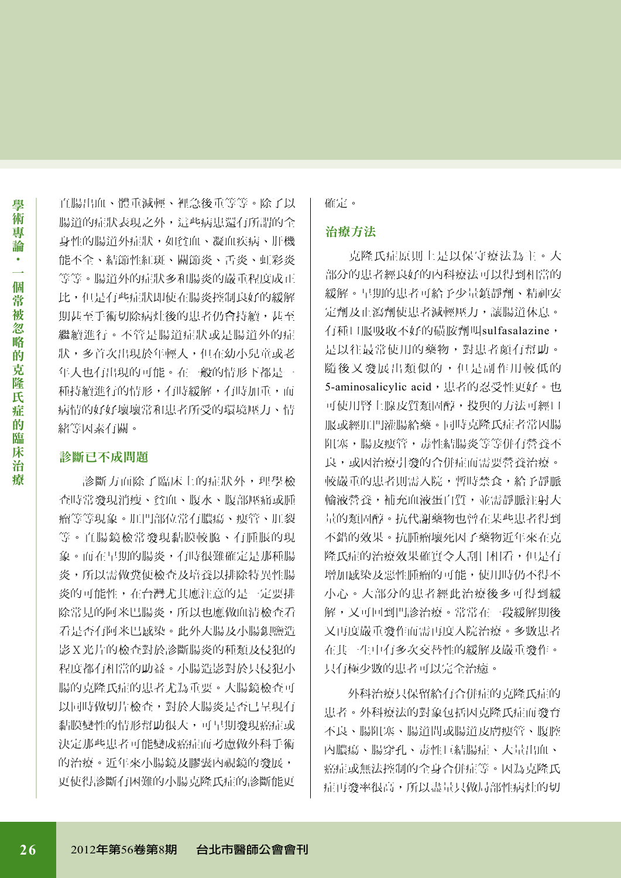直腸出血、體重減輕、裡急後重等等。除了以 腸道的症狀表現之外,這些病患還有所謂的全 身性的腸道外症狀,如貧血、凝血疾病、肝機 能不全、結節性紅斑、關節炎、舌炎、虹彩炎 等等。腸道外的症狀多和腸炎的嚴重程度成正 比,但是有些症狀即使在腸炎控制良好的緩解 期甚至手術切除病灶後的患者仍會持續,甚至 繼續進行。不管是腸道症狀或是腸道外的症 狀,多首次出現於年輕人,但在幼小兒童或老 年人也有出現的可能。在一般的情形下都是一 種持續進行的情形,有時緩解,有時加重,而 病情的好好壞壞常和患者所受的環境壓力、情 緒等因素有關。

## 診斷已不成問題

診斷方面除了臨床上的症狀外,理學檢 查時常發現消瘦、貧血、腹水、腹部壓痛或腫 瘤等等現象。肛門部位常有膿瘍、瘻管、肛裂 等。直腸鏡檢常發現黏膜較脆、有腫脹的現 象。而在早期的腸炎,有時很難確定是那種腸 炎,所以需做糞便檢查及培養以排除特異性腸 炎的可能性,在台灣尤其應注意的是一定要排 除常見的阿米巴腸炎,所以也應做血清檢查看 看是否有阿米巴感染。此外大腸及小腸鋇鹽造 影X光片的檢查對於診斷腸炎的種類及侵犯的 程度都有相當的助益。小腸造影對於只侵犯小 腸的克隆氏症的患者尤為重要。大腸鏡檢查可 以同時做切片檢查,對於大腸炎是否已呈現有 黏膜變性的情形幫助很大,可早期發現癌症或 決定那些患者可能變成癌症而考慮做外科手術 的治療。近年來小腸鏡及膠囊內視鏡的發展, 更使得診斷有困難的小腸克隆氏症的診斷能更

確定。

#### 治療方法

克隆氏症原則上是以保守療法為主。大 部分的患者經良好的內科療法可以得到相當的 緩解。早期的患者可給予少量鎮靜劑、精神安 定劑及止瀉劑使患者減輕壓力,讓腸道休息。 有種口服吸收不好的磺胺劑叫sulfasalazine, 是以往最常使用的藥物,對患者頗有幫助。 隨後又發展出類似的,但是副作用較低的 5-aminosalicylic acid,患者的忍受性更好。也 可使用腎上腺皮質類固醇,投與的方法可經口 服或經肛門灌腸給藥。同時克隆氏症者常因腸 阻塞,腸皮瘻管,毒性結腸炎等等併有營養不 良,或因治療引發的合併症而需要營養治療。 較嚴重的患者則需入院,暫時禁食,給予靜脈 輸液營養,補充血液蛋白質,並需靜脈注射大 量的類固醇。抗代謝藥物也曾在某些患者得到 不錯的效果。抗腫瘤壞死因子藥物近年來在克 **降氏症的治療效果確實令人刮目相看,但是有** 增加感染及惡性腫瘤的可能,使用時仍不得不 小心。大部分的患者經此治療後多可得到緩 解,又可回到門診治療。常常在一段緩解期後 又再度嚴重發作而需再度入院治療。多數患者 在其一生中有多次交替性的緩解及嚴重發作。 只有極少數的患者可以完全治癒。

外科治療只保留給有合併症的克隆氏症的 患者。外科療法的對象包括因克隆氏症而發育 不良、腸阻塞、腸道間或腸道皮膚瘻管、腹腔 內膿瘍、腸穿孔、毒性巨結腸症、大量出血、 癌症或無法控制的全身合併症等。因為克隆氏 症再發率很高,所以盡量只做局部性病灶的切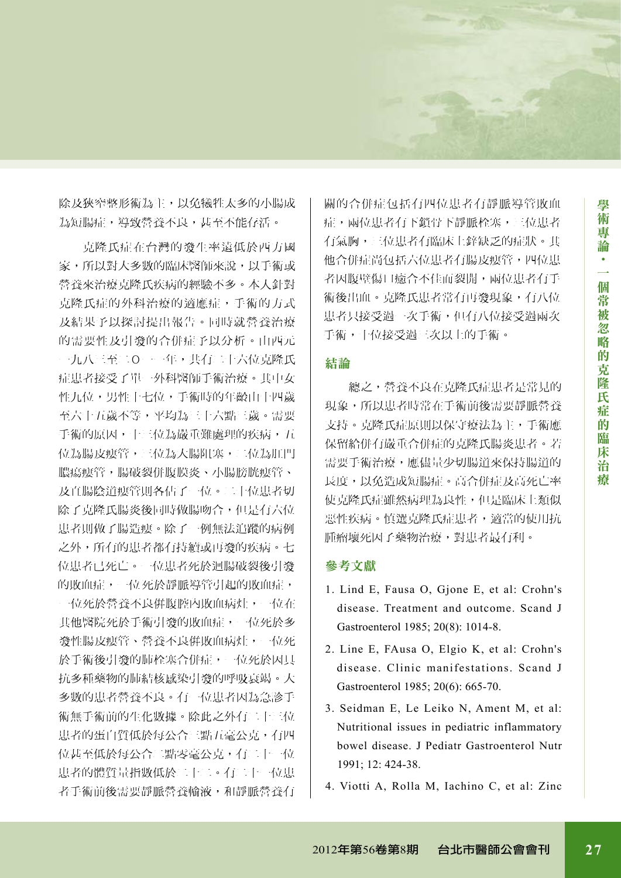除及狹窄整形術為主,以免犧牲太多的小腸成 為短腸症,導致營養不良,甚至不能存活。

克隆氏症在台灣的發生率遠低於西方國 家,所以對大多數的臨床醫師來說,以手術或 營養來治療克隆氏疾病的經驗不多。本人針對 克隆氏症的外科治療的適應症,手術的方式 及結果予以探討提出報告。同時就營養治療 的需要性及引發的合併症予以分析。由西元 一九八三至二Ο一一年,共有二十六位克隆氏 症患者接受了單一外科醫師手術治療。其中女 性九位,男性十七位,手術時的年齡由十四歲 至六十五歲不等,平均為三十六點三歲。需要 手術的原因,十三位為嚴重難處理的疾病,五 位為腸皮瘻管,三位為大腸阻塞,二位為肛門 膿瘍瘻管,腸破裂併腹膜炎、小腸膀胱瘻管、 及直腸陰道瘻管則各佔了一位。二十位患者切 除了克隆氏腸炎後同時做腸吻合,但是有六位 患者則做了腸造瘻。除了一例無法追蹤的病例 之外,所有的患者都有持續或再發的疾病。七 位患者已死亡。一位患者死於迴腸破裂後引發 的敗血症,一位死於靜脈導管引起的敗血症, 一位死於營養不良倂腹腔內敗血病灶,一位在 其他醫院死於手術引發的敗血症,一位死於多 發性腸皮瘻管、營養不良倂敗血病灶,一位死 於手術後引發的肺栓塞合併症,一位死於因具 抗多種藥物的肺結核感染引發的呼吸衰竭。大 多數的患者營養不良。有一位患者因為急診手 術無手術前的生化數據。除此之外有二十三位 患者的蛋白質低於每公合三點五毫公克,有四 位甚至低於每公合二點零毫公克,有二十一位 患者的體質量指數低於二十二。有二十一位患 者手術前後需要靜脈營養輸液,和靜脈營養有

關的合併症包括有四位患者有靜脈導管敗血 症,兩位患者有下鎖骨下靜脈栓塞,三位患者 有氣胸,三位患者有臨床上鋅缺乏的症狀。其 他合併症尚包括六位患者有腸皮瘻管,四位患 者因腹壁傷口癒合不佳而裂開,兩位患者有手 術後出血。克隆氏患者常有再發現象,有八位 患者只接受過一次手術,但有八位接受過兩次 手術,十位接受過三次以上的手術。

## 結論

總之,營養不良在克隆氏症患者是常見的 現象,所以患者時常在手術前後需要靜脈營養 支持。克隆氏症原則以保守療法為主,手術應 保留給併有嚴重合併症的克隆氏腸炎患者。若 需要手術治療,應儘量少切腸道來保持腸道的 長度,以免造成短腸症。高合併症及高死亡率 使克隆氏症雖然病理為良性,但是臨床上類似 惡性疾病。慎選克隆氏症患者,適當的使用抗 腫瘤壞死因子藥物治療,對患者最有利。

## 參考文獻

- 1. Lind E, Fausa O, Gjone E, et al: Crohn's disease. Treatment and outcome. Scand J Gastroenterol 1985; 20(8): 1014-8.
- 2. Line E, FAusa O, Elgio K, et al: Crohn's disease. Clinic manifestations. Scand J Gastroenterol 1985; 20(6): 665-70.
- 3. Seidman E, Le Leiko N, Ament M, et al: Nutritional issues in pediatric inflammatory bowel disease. J Pediatr Gastroenterol Nutr 1991; 12: 424-38.
- 4. Viotti A, Rolla M, Iachino C, et al: Zinc